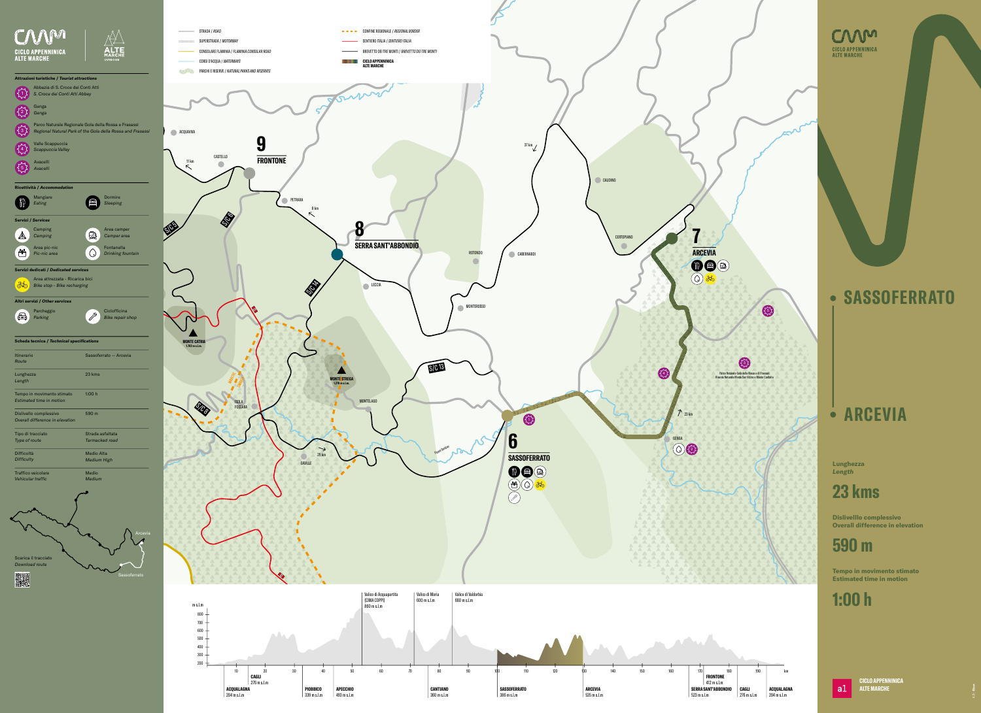## **SASSOFERRATO**

**ARCEVIA**

## **23 kms**

**590 m**

## **1:00 h**

 $|a1|$ 

**Lunghezza**

*Length*

**Dislivelllo complessivo Overall difference in elevation**

**Tempo in movimento stimato Estimated time in motion**

> **CICLO APPENNINICA ALTE MARCHE**

S/C 13



# **COMPENNINICA**<br>ALTE MARCHE

Fiume Sentino

 $\sqrt{2}$ 

議



|                                                                                   |                                                                                                                    | STRADA / ROAD<br><b>Contract Contract</b>                             | CONFINE REGIONALE / REGIONAL BORDER                                                  |
|-----------------------------------------------------------------------------------|--------------------------------------------------------------------------------------------------------------------|-----------------------------------------------------------------------|--------------------------------------------------------------------------------------|
| <b>CICLO APPENNINICA</b>                                                          |                                                                                                                    | SUPERSTRADA / MOTORWAY<br>CONSOLARE FLAMINIA / FLAMINIA CONSULAR ROAD | SENTIERO ITALIA / SENTIERO ITALIA<br>BREVETTO DEI TRE MONTI / BREVETTO DEI TRE MONTI |
| <b>ALTE MARCHE</b>                                                                | <b>1ARCHE</b><br><b>OUTDOOR</b>                                                                                    | CORSI D'ACQUA / WATERWAYS                                             | CICLO APPENNINICA<br>Alte Marche<br>                                                 |
|                                                                                   |                                                                                                                    | PARCHI E RISERVE / NATURAL PARKS AND RESERVES                         |                                                                                      |
| Attrazioni turistiche / Tourist attractions<br>Abbazia di S. Croce dei Conti Atti |                                                                                                                    |                                                                       |                                                                                      |
| S. Croce dei Conti Atti Abbey                                                     |                                                                                                                    |                                                                       | Fournie                                                                              |
| Genga<br>$\left 2\right\rangle$<br>Genga                                          |                                                                                                                    |                                                                       |                                                                                      |
| {3}                                                                               | Parco Naturale Regionale Gola della Rossa e Frasassi<br>Regional Natural Park of the Gola della Rossa and Frasassi | ACQUAVIVA                                                             |                                                                                      |
| Valle Scappuccia                                                                  |                                                                                                                    | y                                                                     |                                                                                      |
| Scappuccia Valley                                                                 |                                                                                                                    | CASTELLO<br><b>FRONTONE</b><br>11 km                                  |                                                                                      |
| Avacelli<br>$\{5\}$<br>Avacelli                                                   |                                                                                                                    | $\kappa$                                                              |                                                                                      |
| Ricettività / Accommodation                                                       |                                                                                                                    |                                                                       |                                                                                      |
| Mangiare                                                                          | Dormire<br>■                                                                                                       | PETRARA                                                               |                                                                                      |
| Eating                                                                            | Sleeping                                                                                                           |                                                                       | 8 km<br>$\nwarrow$                                                                   |
| <b>Servizi / Services</b><br>Camping                                              | Area camper                                                                                                        | <b>SEP</b><br>SIES                                                    |                                                                                      |
| $\mathbb A$<br>Camping                                                            | 血<br>Camper area                                                                                                   |                                                                       |                                                                                      |
| Area pic-nic<br>轡<br>Pic-nic area                                                 | Fontanella<br>$\bigcirc$<br>Drinking fountain                                                                      |                                                                       | <b>SERRA SANT'ABBONDIO</b>                                                           |
| Servizi dedicati / Dedicated services                                             |                                                                                                                    |                                                                       |                                                                                      |
| Area attrezzata - Ricarica bici<br>$\delta$<br>Bike stop - Bike recharging        |                                                                                                                    |                                                                       | LECCIA                                                                               |
|                                                                                   |                                                                                                                    |                                                                       | S                                                                                    |
| Altri servizi / Other services                                                    | Ciclofficina                                                                                                       |                                                                       |                                                                                      |
| Parcheggio<br>€<br>Parking                                                        | $\mathscr{S}$<br><b>Bike repair shop</b>                                                                           |                                                                       |                                                                                      |
| <b>Scheda tecnica / Technical specifications</b>                                  |                                                                                                                    | <b>MONTE CATRIA</b>                                                   |                                                                                      |
| Itinerario                                                                        | Sassoferrato - Arcevia                                                                                             | 1.702 m s.l.m.                                                        |                                                                                      |
| Route                                                                             |                                                                                                                    |                                                                       |                                                                                      |
| Lunghezza<br>Length                                                               | 23 kms                                                                                                             |                                                                       | <b>MONTE STREGA</b><br>1.278 m s.l.m.                                                |
| Tempo in movimento stimato                                                        | 1:00h                                                                                                              |                                                                       |                                                                                      |
| Estimated time in motion                                                          |                                                                                                                    | <b>ISOLA</b><br>SRS<br>FOSSARA                                        | <b>MONTELAGO</b>                                                                     |
| Dislivello complessivo<br>Overall difference in elevation                         | 590 m                                                                                                              | $\blacktriangleright$                                                 |                                                                                      |
| Tipo di tracciato                                                                 | Strada asfaltata                                                                                                   |                                                                       |                                                                                      |
| Type of route<br>Difficoltà                                                       | Tarmacked road<br><b>Medio Alta</b>                                                                                |                                                                       | ↘                                                                                    |
| <b>Difficulty</b>                                                                 | <b>Medium High</b>                                                                                                 | GAVILLE                                                               | 29 km                                                                                |
| Traffico veicolare<br>Vehicular traffic                                           | Medio<br>Medium                                                                                                    |                                                                       |                                                                                      |
|                                                                                   |                                                                                                                    |                                                                       |                                                                                      |
|                                                                                   |                                                                                                                    |                                                                       |                                                                                      |
|                                                                                   |                                                                                                                    |                                                                       |                                                                                      |
|                                                                                   |                                                                                                                    |                                                                       |                                                                                      |
|                                                                                   | Arcevia                                                                                                            |                                                                       |                                                                                      |
|                                                                                   |                                                                                                                    |                                                                       |                                                                                      |
| Scarica il tracciato<br>Download route                                            |                                                                                                                    |                                                                       |                                                                                      |
| <b>Bigs</b>                                                                       | Sassoferrato                                                                                                       |                                                                       |                                                                                      |
|                                                                                   |                                                                                                                    |                                                                       |                                                                                      |